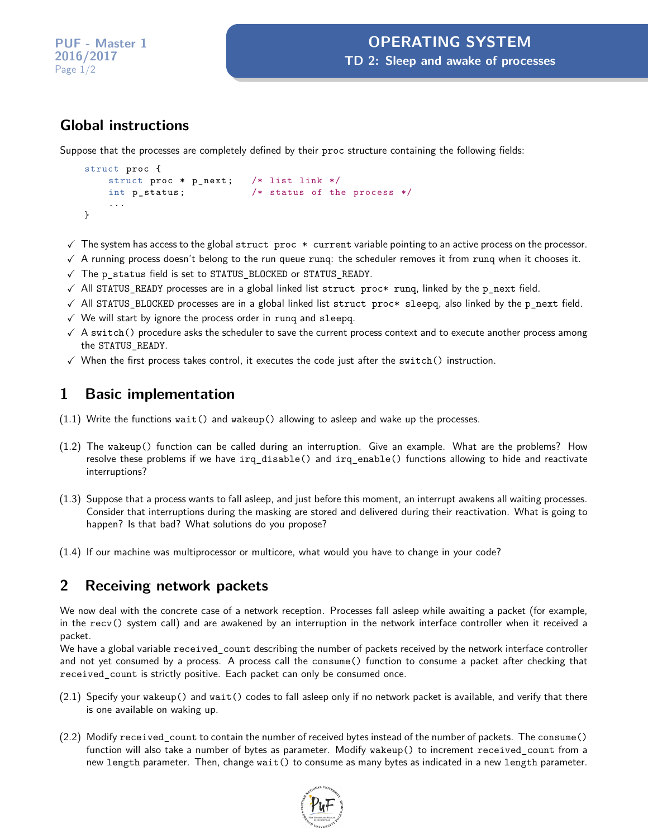# **Global instructions**

Suppose that the processes are completely defined by their proc structure containing the following fields:

```
struct proc {
   struct proc * p_next; /* list link */
   int p_status ; /* status of the process */
   ...
}
```
- $\checkmark$  The system has access to the global struct proc  $*$  current variable pointing to an active process on the processor.
- $\sqrt{ }$  A running process doesn't belong to the run queue rung: the scheduler removes it from rung when it chooses it.
- $\checkmark$  The p\_status field is set to STATUS\_BLOCKED or STATUS\_READY.
- $\checkmark$  All STATUS\_READY processes are in a global linked list struct proc\* runq, linked by the p\_next field.
- $\checkmark$  All STATUS\_BLOCKED processes are in a global linked list struct proc\* sleepq, also linked by the p\_next field.
- $\checkmark$  We will start by ignore the process order in rung and sleepq.
- $\checkmark$  A switch() procedure asks the scheduler to save the current process context and to execute another process among the STATUS\_READY.
- $\checkmark$  When the first process takes control, it executes the code just after the switch() instruction.

## **1 Basic implementation**

- (1.1) Write the functions wait() and wakeup() allowing to asleep and wake up the processes.
- (1.2) The wakeup() function can be called during an interruption. Give an example. What are the problems? How resolve these problems if we have irq\_disable() and irq\_enable() functions allowing to hide and reactivate interruptions?
- (1.3) Suppose that a process wants to fall asleep, and just before this moment, an interrupt awakens all waiting processes. Consider that interruptions during the masking are stored and delivered during their reactivation. What is going to happen? Is that bad? What solutions do you propose?
- (1.4) If our machine was multiprocessor or multicore, what would you have to change in your code?

## **2 Receiving network packets**

We now deal with the concrete case of a network reception. Processes fall asleep while awaiting a packet (for example, in the recv() system call) and are awakened by an interruption in the network interface controller when it received a packet.

We have a global variable received\_count describing the number of packets received by the network interface controller and not yet consumed by a process. A process call the consume() function to consume a packet after checking that received\_count is strictly positive. Each packet can only be consumed once.

- (2.1) Specify your wakeup() and wait() codes to fall asleep only if no network packet is available, and verify that there is one available on waking up.
- (2.2) Modify received\_count to contain the number of received bytes instead of the number of packets. The consume() function will also take a number of bytes as parameter. Modify wakeup() to increment received\_count from a new length parameter. Then, change wait() to consume as many bytes as indicated in a new length parameter.